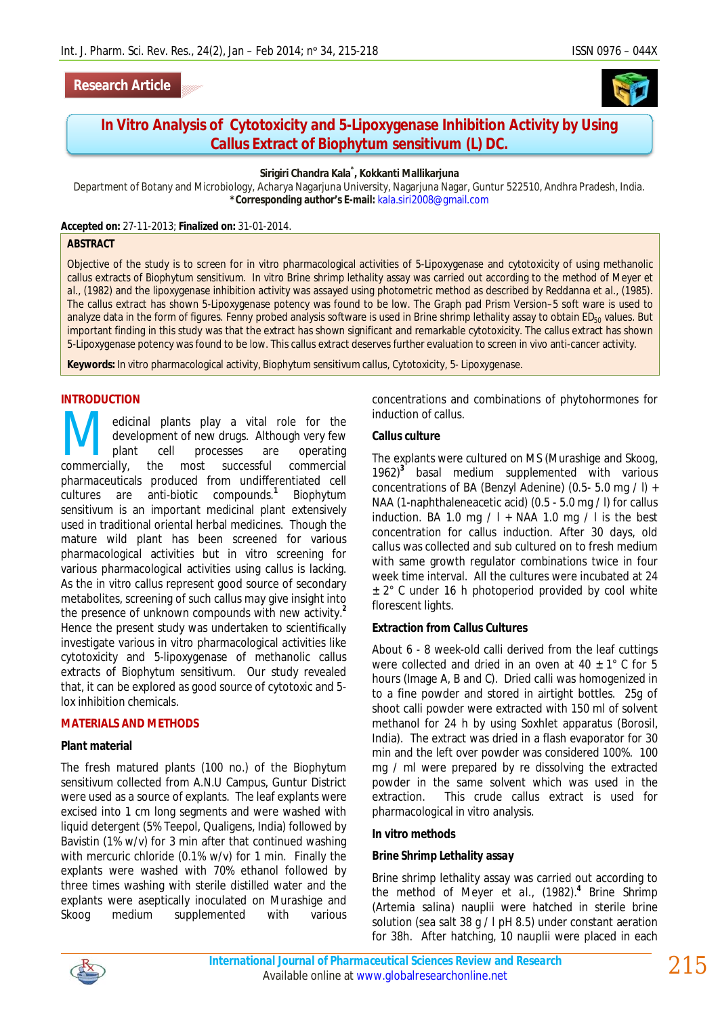# **Research Article**

# *In Vitro* **Analysis of Cytotoxicity and 5-Lipoxygenase Inhibition Activity by Using Callus Extract of** *Biophytum sensitivum* **(L) DC.**

#### **Sirigiri Chandra Kala\* , Kokkanti Mallikarjuna**

Department of Botany and Microbiology, Acharya Nagarjuna University, Nagarjuna Nagar, Guntur 522510, Andhra Pradesh, India. **\*Corresponding author's E-mail:** kala.siri2008@gmail.com

**Accepted on:** 27-11-2013; **Finalized on:** 31-01-2014.

#### **ABSTRACT**

Objective of the study is to screen for *in vitro* pharmacological activities of 5-Lipoxygenase and cytotoxicity of using methanolic callus extracts of *Biophytum sensitivum*. *In vitro* Brine shrimp lethality assay was carried out according to the method of Meyer *et al.,* (1982) and the lipoxygenase inhibition activity was assayed using photometric method as described by Reddanna *et al*., (1985). The callus extract has shown 5-Lipoxygenase potency was found to be low. The Graph pad Prism Version–5 soft ware is used to analyze data in the form of figures. Fenny probed analysis software is used in Brine shrimp lethality assay to obtain ED<sub>50</sub> values. But important finding in this study was that the extract has shown significant and remarkable cytotoxicity. The callus extract has shown 5-Lipoxygenase potency was found to be low. This callus extract deserves further evaluation to screen *in vivo* anti-cancer activity.

**Keywords:** *In vitro* pharmacological activity, *Biophytum sensitivum* callus, Cytotoxicity, 5- Lipoxygenase.

# **INTRODUCTION**

edicinal plants play a vital role for the development of new drugs. Although very few plant cell processes are operating **commercially** edicinal plants play a vital role for the development of new drugs. Although very few plant cell processes are operating commercially, the most successful commercial pharmaceuticals produced from undifferentiated cell cultures are anti-biotic compounds.**<sup>1</sup>** *Biophytum sensitivum* is an important medicinal plant extensively used in traditional oriental herbal medicines. Though the mature wild plant has been screened for various pharmacological activities but *in vitro* screening for various pharmacological activities using callus is lacking. As the *in vitro* callus represent good source of secondary metabolites, screening of such callus may give insight into the presence of unknown compounds with new activity.**<sup>2</sup>** Hence the present study was undertaken to scientifically investigate various *in vitro* pharmacological activities like cytotoxicity and 5-lipoxygenase of methanolic callus extracts of *Biophytum sensitivum.* Our study revealed that, it can be explored as good source of cytotoxic and 5 lox inhibition chemicals.

#### **MATERIALS AND METHODS**

#### **Plant material**

The fresh matured plants (100 no.) of the *Biophytum sensitivum* collected from A.N.U Campus, Guntur District were used as a source of explants. The leaf explants were excised into 1 cm long segments and were washed with liquid detergent (5% Teepol, Qualigens, India) followed by Bavistin (1% w/v) for 3 min after that continued washing with mercuric chloride (0.1% w/v) for 1 min. Finally the explants were washed with 70% ethanol followed by three times washing with sterile distilled water and the explants were aseptically inoculated on Murashige and Skoog medium supplemented with various

concentrations and combinations of phytohormones for induction of callus.

#### **Callus culture**

The explants were cultured on MS (Murashige and Skoog, 1962)**<sup>3</sup>** basal medium supplemented with various concentrations of BA (Benzyl Adenine) (0.5- 5.0 mg / l) + NAA (1-naphthaleneacetic acid) (0.5 - 5.0 mg / l) for callus induction. BA 1.0 mg  $/ I + NAA$  1.0 mg  $/ I$  is the best concentration for callus induction. After 30 days, old callus was collected and sub cultured on to fresh medium with same growth regulator combinations twice in four week time interval. All the cultures were incubated at 24 ± 2° C under 16 h photoperiod provided by cool white florescent lights.

### **Extraction from Callus Cultures**

About 6 - 8 week-old calli derived from the leaf cuttings were collected and dried in an oven at 40  $\pm$  1° C for 5 hours (Image A, B and C). Dried calli was homogenized in to a fine powder and stored in airtight bottles. 25g of shoot calli powder were extracted with 150 ml of solvent methanol for 24 h by using Soxhlet apparatus (Borosil, India). The extract was dried in a flash evaporator for 30 min and the left over powder was considered 100%. 100 mg / ml were prepared by re dissolving the extracted powder in the same solvent which was used in the extraction. This crude callus extract is used for pharmacological *in vitro* analysis.

#### *In vitro* **methods**

#### *Brine Shrimp Lethality assay*

Brine shrimp lethality assay was carried out according to the method of Meyer *et al.,* (1982).**<sup>4</sup>** Brine Shrimp (*Artemia salina*) nauplii were hatched in sterile brine solution (sea salt 38 g / l pH 8.5) under constant aeration for 38h. After hatching, 10 nauplii were placed in each

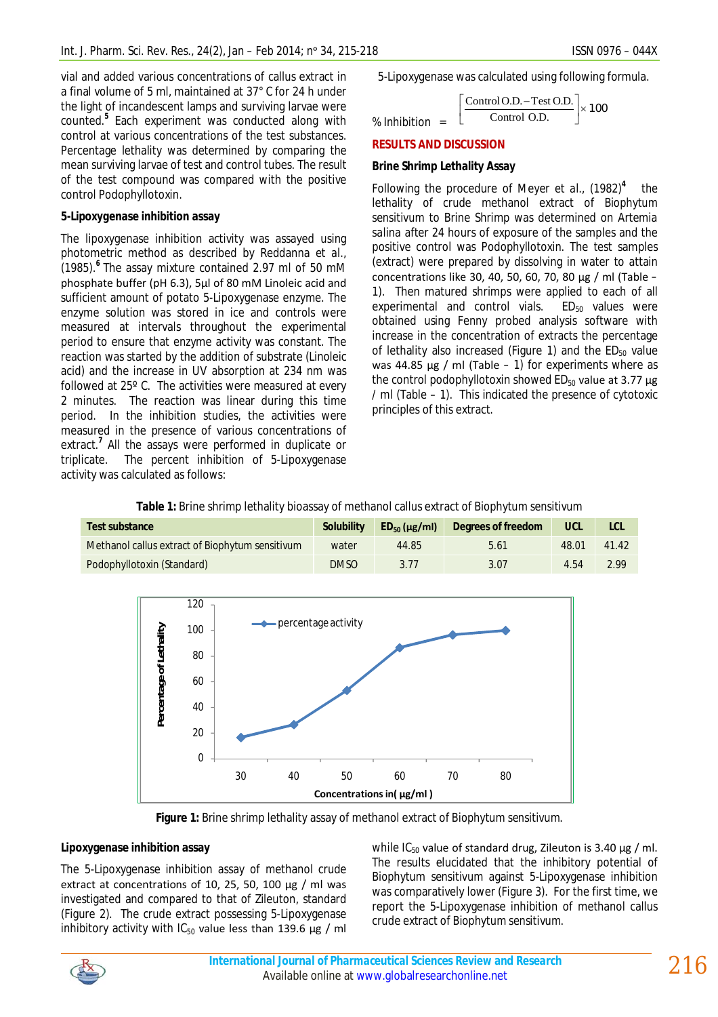vial and added various concentrations of callus extract in a final volume of 5 ml, maintained at 37° C for 24 h under the light of incandescent lamps and surviving larvae were counted.**<sup>5</sup>** Each experiment was conducted along with control at various concentrations of the test substances. Percentage lethality was determined by comparing the mean surviving larvae of test and control tubes. The result of the test compound was compared with the positive control Podophyllotoxin.

# *5-Lipoxygenase inhibition assay*

The lipoxygenase inhibition activity was assayed using photometric method as described by Reddanna *et al.,* (1985).**<sup>6</sup>** The assay mixture contained 2.97 ml of 50 mM phosphate buffer (pH 6.3), 5µl of 80 mM Linoleic acid and sufficient amount of potato 5-Lipoxygenase enzyme. The enzyme solution was stored in ice and controls were measured at intervals throughout the experimental period to ensure that enzyme activity was constant. The reaction was started by the addition of substrate (Linoleic acid) and the increase in UV absorption at 234 nm was followed at 25º C. The activities were measured at every 2 minutes. The reaction was linear during this time period. In the inhibition studies, the activities were measured in the presence of various concentrations of extract.**<sup>7</sup>** All the assays were performed in duplicate or triplicate. The percent inhibition of 5-Lipoxygenase activity was calculated as follows:

5-Lipoxygenase was calculated using following formula.

$$
\% Inhibition = \left[ \frac{\text{Control O.D.} - \text{Test O.D.}}{\text{Control O.D.}} \right] \times 100
$$

## **RESULTS AND DISCUSSION**

# **Brine Shrimp Lethality Assay**

Following the procedure of Meyer *et al*., (1982)**<sup>4</sup>** the lethality of crude methanol extract of *Biophytum sensitivum* to Brine Shrimp was determined on *Artemia salina* after 24 hours of exposure of the samples and the positive control was Podophyllotoxin. The test samples (extract) were prepared by dissolving in water to attain concentrations like 30, 40, 50, 60, 70, 80 µg / ml (Table – 1). Then matured shrimps were applied to each of all experimental and control vials.  $ED_{50}$  values were obtained using Fenny probed analysis software with increase in the concentration of extracts the percentage of lethality also increased (Figure 1) and the  $ED_{50}$  value was 44.85  $\mu$ g / ml (Table – 1) for experiments where as the control podophyllotoxin showed  $ED_{50}$  value at 3.77  $\mu$ g / ml (Table – 1). This indicated the presence of cytotoxic principles of this extract.

| Test substance                                  | <b>Solubility</b> | $ED_{50}$ (µg/ml) | Degrees of freedom | <b>UCL</b> | LCL   |
|-------------------------------------------------|-------------------|-------------------|--------------------|------------|-------|
| Methanol callus extract of Biophytum sensitivum | water             | 44.85             | 5.61               | 48.01      | 41.42 |
| Podophyllotoxin (Standard)                      | <b>DMSO</b>       | 3.77              | 3.07               | 4.54       | 2.99  |





**Figure 1:** Brine shrimp lethality assay of methanol extract of *Biophytum sensitivum.*

# **Lipoxygenase inhibition assay**

The 5-Lipoxygenase inhibition assay of methanol crude extract at concentrations of 10, 25, 50, 100 µg / ml was investigated and compared to that of Zileuton, standard (Figure 2). The crude extract possessing 5-Lipoxygenase inhibitory activity with  $IC_{50}$  value less than 139.6  $\mu$ g / ml

while  $IC_{50}$  value of standard drug, Zileuton is 3.40  $\mu$ g / ml. The results elucidated that the inhibitory potential of *Biophytum sensitivum* against 5-Lipoxygenase inhibition was comparatively lower (Figure 3). For the first time, we report the 5-Lipoxygenase inhibition of methanol callus crude extract of *Biophytum sensitivum*.

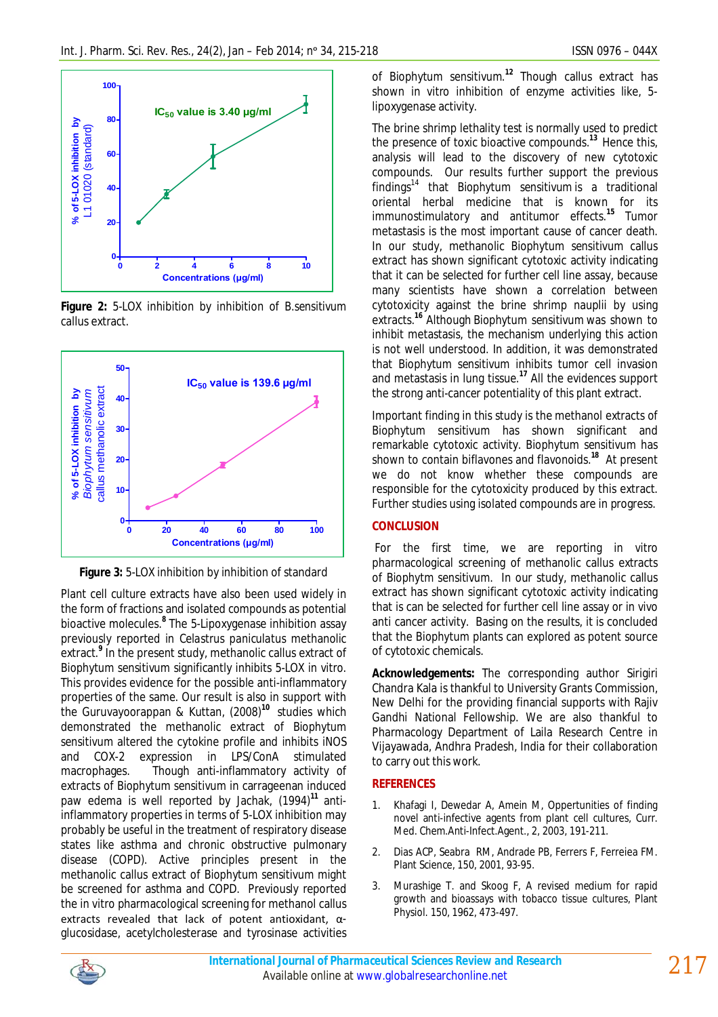

**Figure 2:** 5-LOX inhibition by inhibition of *B.sensitivum* callus extract.



**Figure 3:** 5-LOX inhibition by inhibition of standard

Plant cell culture extracts have also been used widely in the form of fractions and isolated compounds as potential bioactive molecules.**<sup>8</sup>** The 5-Lipoxygenase inhibition assay previously reported in *Celastrus paniculatus* methanolic extract.**<sup>9</sup>** In the present study, methanolic callus extract of *Biophytum sensitivum* significantly inhibits 5-LOX *in vitro.*  This provides evidence for the possible anti-inflammatory properties of the same. Our result is also in support with the Guruvayoorappan & Kuttan, (2008)**<sup>10</sup>** studies which demonstrated the methanolic extract of *Biophytum sensitivum* altered the cytokine profile and inhibits iNOS and COX-2 expression in LPS/ConA stimulated macrophages. Though anti-inflammatory activity of extracts of *Biophytum sensitivum* in carrageenan induced paw edema is well reported by Jachak, (1994)**<sup>11</sup>** antiinflammatory properties in terms of 5-LOX inhibition may probably be useful in the treatment of respiratory disease states like asthma and chronic obstructive pulmonary disease (COPD). Active principles present in the methanolic callus extract of *Biophytum sensitivum* might be screened for asthma and COPD. Previously reported the *in vitro* pharmacological screening for methanol callus extracts revealed that lack of potent antioxidant, αglucosidase, acetylcholesterase and tyrosinase activities

of *Biophytum sensitivum.***<sup>12</sup>** Though callus extract has shown *in vitro* inhibition of enzyme activities like, 5 lipoxygenase activity.

The brine shrimp lethality test is normally used to predict the presence of toxic bioactive compounds.<sup>13</sup> Hence this, analysis will lead to the discovery of new cytotoxic compounds. Our results further support the previous findings<sup>14</sup> that *Biophytum sensitivum* is a traditional oriental herbal medicine that is known for its immunostimulatory and antitumor effects.**<sup>15</sup>** Tumor metastasis is the most important cause of cancer death. In our study, methanolic *Biophytum sensitivum* callus extract has shown significant cytotoxic activity indicating that it can be selected for further cell line assay, because many scientists have shown a correlation between cytotoxicity against the brine shrimp nauplii by using extracts.**<sup>16</sup>** Although *Biophytum sensitivum* was shown to inhibit metastasis, the mechanism underlying this action is not well understood. In addition, it was demonstrated that *Biophytum sensitivum* inhibits tumor cell invasion and metastasis in lung tissue.**<sup>17</sup>** All the evidences support the strong anti-cancer potentiality of this plant extract.

Important finding in this study is the methanol extracts of *Biophytum sensitivum* has shown significant and remarkable cytotoxic activity. *Biophytum sensitivum* has shown to contain biflavones and flavonoids.**<sup>18</sup>** At present we do not know whether these compounds are responsible for the cytotoxicity produced by this extract. Further studies using isolated compounds are in progress.

# **CONCLUSION**

For the first time, we are reporting *in vitro* pharmacological screening of methanolic callus extracts of *Biophytm sensitivum*. In our study, methanolic callus extract has shown significant cytotoxic activity indicating that is can be selected for further cell line assay or *in vivo* anti cancer activity. Basing on the results, it is concluded that the *Biophytum* plants can explored as potent source of cytotoxic chemicals.

**Acknowledgements:** The corresponding author Sirigiri Chandra Kala is thankful to University Grants Commission, New Delhi for the providing financial supports with Rajiv Gandhi National Fellowship. We are also thankful to Pharmacology Department of Laila Research Centre in Vijayawada, Andhra Pradesh, India for their collaboration to carry out this work.

# **REFERENCES**

- 1. Khafagi I, Dewedar A, Amein M, Oppertunities of finding novel anti-infective agents from plant cell cultures, Curr. Med. Chem.Anti-Infect.Agent., 2, 2003, 191-211.
- 2. Dias ACP, Seabra RM, Andrade PB, Ferrers F, Ferreiea FM. Plant Science, 150, 2001, 93-95.
- 3. Murashige T. and Skoog F, A revised medium for rapid growth and bioassays with tobacco tissue cultures, Plant Physiol. 150, 1962, 473-497.